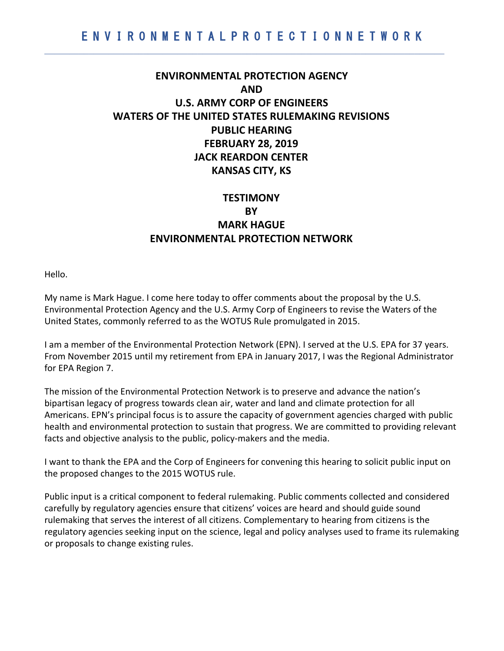$\mathcal{L}_\mathcal{L} = \mathcal{L}_\mathcal{L} = \mathcal{L}_\mathcal{L} = \mathcal{L}_\mathcal{L} = \mathcal{L}_\mathcal{L} = \mathcal{L}_\mathcal{L} = \mathcal{L}_\mathcal{L} = \mathcal{L}_\mathcal{L} = \mathcal{L}_\mathcal{L} = \mathcal{L}_\mathcal{L} = \mathcal{L}_\mathcal{L} = \mathcal{L}_\mathcal{L} = \mathcal{L}_\mathcal{L} = \mathcal{L}_\mathcal{L} = \mathcal{L}_\mathcal{L} = \mathcal{L}_\mathcal{L} = \mathcal{L}_\mathcal{L}$ 

## **ENVIRONMENTAL PROTECTION AGENCY AND U.S. ARMY CORP OF ENGINEERS WATERS OF THE UNITED STATES RULEMAKING REVISIONS PUBLIC HEARING FEBRUARY 28, 2019 JACK REARDON CENTER KANSAS CITY, KS**

# **TESTIMONY BY MARK HAGUE ENVIRONMENTAL PROTECTION NETWORK**

Hello.

My name is Mark Hague. I come here today to offer comments about the proposal by the U.S. Environmental Protection Agency and the U.S. Army Corp of Engineers to revise the Waters of the United States, commonly referred to as the WOTUS Rule promulgated in 2015.

I am a member of the Environmental Protection Network (EPN). I served at the U.S. EPA for 37 years. From November 2015 until my retirement from EPA in January 2017, I was the Regional Administrator for EPA Region 7.

The mission of the Environmental Protection Network is to preserve and advance the nation's bipartisan legacy of progress towards clean air, water and land and climate protection for all Americans. EPN's principal focus is to assure the capacity of government agencies charged with public health and environmental protection to sustain that progress. We are committed to providing relevant facts and objective analysis to the public, policy-makers and the media.

I want to thank the EPA and the Corp of Engineers for convening this hearing to solicit public input on the proposed changes to the 2015 WOTUS rule.

Public input is a critical component to federal rulemaking. Public comments collected and considered carefully by regulatory agencies ensure that citizens' voices are heard and should guide sound rulemaking that serves the interest of all citizens. Complementary to hearing from citizens is the regulatory agencies seeking input on the science, legal and policy analyses used to frame its rulemaking or proposals to change existing rules.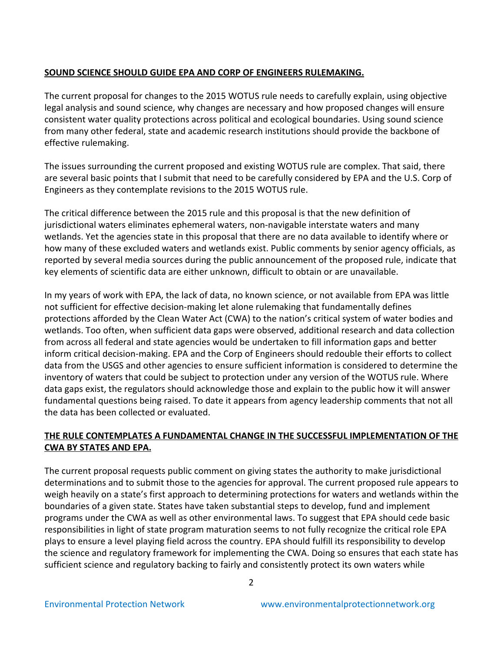## **SOUND SCIENCE SHOULD GUIDE EPA AND CORP OF ENGINEERS RULEMAKING.**

The current proposal for changes to the 2015 WOTUS rule needs to carefully explain, using objective legal analysis and sound science, why changes are necessary and how proposed changes will ensure consistent water quality protections across political and ecological boundaries. Using sound science from many other federal, state and academic research institutions should provide the backbone of effective rulemaking.

The issues surrounding the current proposed and existing WOTUS rule are complex. That said, there are several basic points that I submit that need to be carefully considered by EPA and the U.S. Corp of Engineers as they contemplate revisions to the 2015 WOTUS rule.

The critical difference between the 2015 rule and this proposal is that the new definition of jurisdictional waters eliminates ephemeral waters, non-navigable interstate waters and many wetlands. Yet the agencies state in this proposal that there are no data available to identify where or how many of these excluded waters and wetlands exist. Public comments by senior agency officials, as reported by several media sources during the public announcement of the proposed rule, indicate that key elements of scientific data are either unknown, difficult to obtain or are unavailable.

In my years of work with EPA, the lack of data, no known science, or not available from EPA was little not sufficient for effective decision-making let alone rulemaking that fundamentally defines protections afforded by the Clean Water Act (CWA) to the nation's critical system of water bodies and wetlands. Too often, when sufficient data gaps were observed, additional research and data collection from across all federal and state agencies would be undertaken to fill information gaps and better inform critical decision-making. EPA and the Corp of Engineers should redouble their efforts to collect data from the USGS and other agencies to ensure sufficient information is considered to determine the inventory of waters that could be subject to protection under any version of the WOTUS rule. Where data gaps exist, the regulators should acknowledge those and explain to the public how it will answer fundamental questions being raised. To date it appears from agency leadership comments that not all the data has been collected or evaluated.

## **THE RULE CONTEMPLATES A FUNDAMENTAL CHANGE IN THE SUCCESSFUL IMPLEMENTATION OF THE CWA BY STATES AND EPA.**

The current proposal requests public comment on giving states the authority to make jurisdictional determinations and to submit those to the agencies for approval. The current proposed rule appears to weigh heavily on a state's first approach to determining protections for waters and wetlands within the boundaries of a given state. States have taken substantial steps to develop, fund and implement programs under the CWA as well as other environmental laws. To suggest that EPA should cede basic responsibilities in light of state program maturation seems to not fully recognize the critical role EPA plays to ensure a level playing field across the country. EPA should fulfill its responsibility to develop the science and regulatory framework for implementing the CWA. Doing so ensures that each state has sufficient science and regulatory backing to fairly and consistently protect its own waters while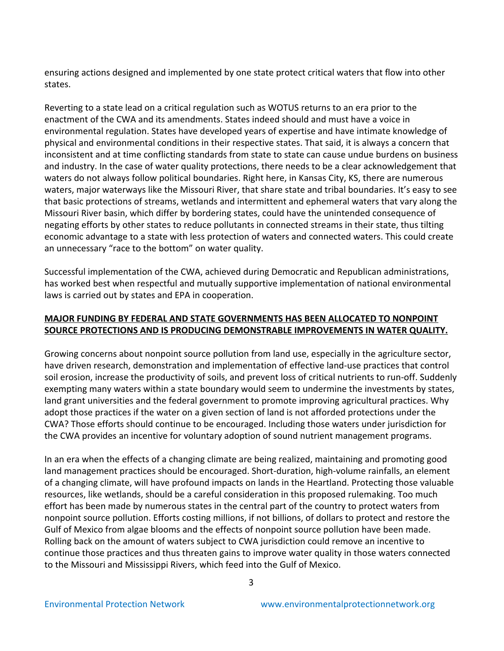ensuring actions designed and implemented by one state protect critical waters that flow into other states.

Reverting to a state lead on a critical regulation such as WOTUS returns to an era prior to the enactment of the CWA and its amendments. States indeed should and must have a voice in environmental regulation. States have developed years of expertise and have intimate knowledge of physical and environmental conditions in their respective states. That said, it is always a concern that inconsistent and at time conflicting standards from state to state can cause undue burdens on business and industry. In the case of water quality protections, there needs to be a clear acknowledgement that waters do not always follow political boundaries. Right here, in Kansas City, KS, there are numerous waters, major waterways like the Missouri River, that share state and tribal boundaries. It's easy to see that basic protections of streams, wetlands and intermittent and ephemeral waters that vary along the Missouri River basin, which differ by bordering states, could have the unintended consequence of negating efforts by other states to reduce pollutants in connected streams in their state, thus tilting economic advantage to a state with less protection of waters and connected waters. This could create an unnecessary "race to the bottom" on water quality.

Successful implementation of the CWA, achieved during Democratic and Republican administrations, has worked best when respectful and mutually supportive implementation of national environmental laws is carried out by states and EPA in cooperation.

#### **MAJOR FUNDING BY FEDERAL AND STATE GOVERNMENTS HAS BEEN ALLOCATED TO NONPOINT SOURCE PROTECTIONS AND IS PRODUCING DEMONSTRABLE IMPROVEMENTS IN WATER QUALITY.**

Growing concerns about nonpoint source pollution from land use, especially in the agriculture sector, have driven research, demonstration and implementation of effective land-use practices that control soil erosion, increase the productivity of soils, and prevent loss of critical nutrients to run-off. Suddenly exempting many waters within a state boundary would seem to undermine the investments by states, land grant universities and the federal government to promote improving agricultural practices. Why adopt those practices if the water on a given section of land is not afforded protections under the CWA? Those efforts should continue to be encouraged. Including those waters under jurisdiction for the CWA provides an incentive for voluntary adoption of sound nutrient management programs.

In an era when the effects of a changing climate are being realized, maintaining and promoting good land management practices should be encouraged. Short-duration, high-volume rainfalls, an element of a changing climate, will have profound impacts on lands in the Heartland. Protecting those valuable resources, like wetlands, should be a careful consideration in this proposed rulemaking. Too much effort has been made by numerous states in the central part of the country to protect waters from nonpoint source pollution. Efforts costing millions, if not billions, of dollars to protect and restore the Gulf of Mexico from algae blooms and the effects of nonpoint source pollution have been made. Rolling back on the amount of waters subject to CWA jurisdiction could remove an incentive to continue those practices and thus threaten gains to improve water quality in those waters connected to the Missouri and Mississippi Rivers, which feed into the Gulf of Mexico.